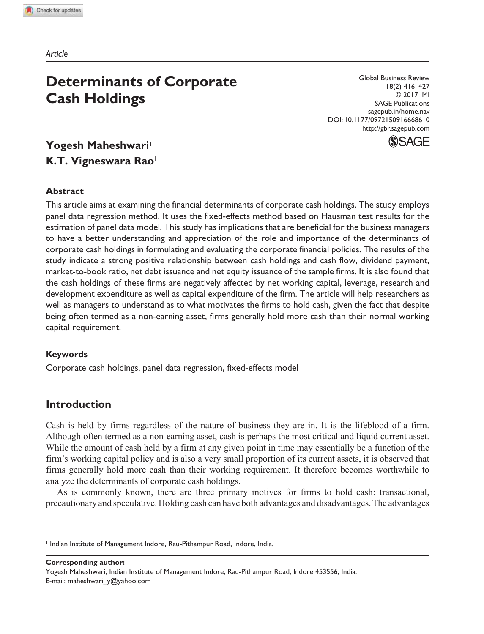*Article*

# **Determinants of Corporate Cash Holdings**

Global Business Review 18(2) 416–427 © 2017 IMI SAGE Publications sagepub.in/home.nav DOI: 10.1177/0972150916668610 http://gbr.sagepub.com



## **Yogesh Maheshwari<sup>1</sup> K.T. Vigneswara Rao<sup>1</sup>**

#### **Abstract**

This article aims at examining the financial determinants of corporate cash holdings. The study employs panel data regression method. It uses the fixed-effects method based on Hausman test results for the estimation of panel data model. This study has implications that are beneficial for the business managers to have a better understanding and appreciation of the role and importance of the determinants of corporate cash holdings in formulating and evaluating the corporate financial policies. The results of the study indicate a strong positive relationship between cash holdings and cash flow, dividend payment, market-to-book ratio, net debt issuance and net equity issuance of the sample firms. It is also found that the cash holdings of these firms are negatively affected by net working capital, leverage, research and development expenditure as well as capital expenditure of the firm. The article will help researchers as well as managers to understand as to what motivates the firms to hold cash, given the fact that despite being often termed as a non-earning asset, firms generally hold more cash than their normal working capital requirement.

#### **Keywords**

Corporate cash holdings, panel data regression, fixed-effects model

### **Introduction**

Cash is held by firms regardless of the nature of business they are in. It is the lifeblood of a firm. Although often termed as a non-earning asset, cash is perhaps the most critical and liquid current asset. While the amount of cash held by a firm at any given point in time may essentially be a function of the firm's working capital policy and is also a very small proportion of its current assets, it is observed that firms generally hold more cash than their working requirement. It therefore becomes worthwhile to analyze the determinants of corporate cash holdings.

As is commonly known, there are three primary motives for firms to hold cash: transactional, precautionary and speculative. Holding cash can have both advantages and disadvantages. The advantages

**Corresponding author:**

Yogesh Maheshwari, Indian Institute of Management Indore, Rau-Pithampur Road, Indore 453556, India. E-mail: maheshwari\_y@yahoo.com

<sup>&</sup>lt;sup>1</sup> Indian Institute of Management Indore, Rau-Pithampur Road, Indore, India.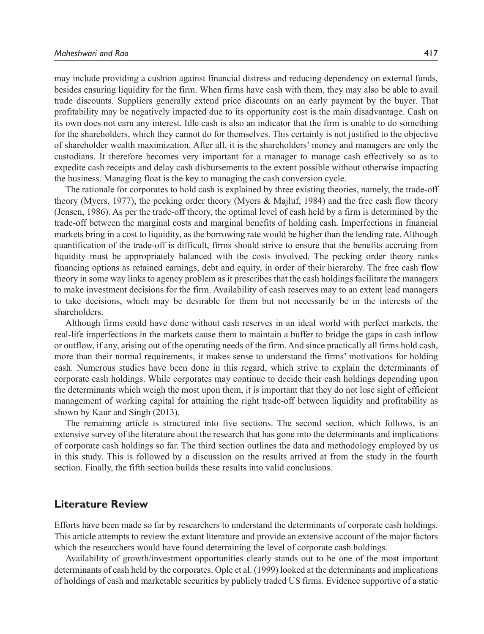may include providing a cushion against financial distress and reducing dependency on external funds, besides ensuring liquidity for the firm. When firms have cash with them, they may also be able to avail trade discounts. Suppliers generally extend price discounts on an early payment by the buyer. That profitability may be negatively impacted due to its opportunity cost is the main disadvantage. Cash on its own does not earn any interest. Idle cash is also an indicator that the firm is unable to do something for the shareholders, which they cannot do for themselves. This certainly is not justified to the objective of shareholder wealth maximization. After all, it is the shareholders' money and managers are only the custodians. It therefore becomes very important for a manager to manage cash effectively so as to expedite cash receipts and delay cash disbursements to the extent possible without otherwise impacting the business. Managing float is the key to managing the cash conversion cycle.

The rationale for corporates to hold cash is explained by three existing theories, namely, the trade-off theory (Myers, 1977), the pecking order theory (Myers & Majluf, 1984) and the free cash flow theory (Jensen, 1986). As per the trade-off theory, the optimal level of cash held by a firm is determined by the trade-off between the marginal costs and marginal benefits of holding cash. Imperfections in financial markets bring in a cost to liquidity, as the borrowing rate would be higher than the lending rate. Although quantification of the trade-off is difficult, firms should strive to ensure that the benefits accruing from liquidity must be appropriately balanced with the costs involved. The pecking order theory ranks financing options as retained earnings, debt and equity, in order of their hierarchy. The free cash flow theory in some way links to agency problem as it prescribes that the cash holdings facilitate the managers to make investment decisions for the firm. Availability of cash reserves may to an extent lead managers to take decisions, which may be desirable for them but not necessarily be in the interests of the shareholders.

Although firms could have done without cash reserves in an ideal world with perfect markets, the real-life imperfections in the markets cause them to maintain a buffer to bridge the gaps in cash inflow or outflow, if any, arising out of the operating needs of the firm. And since practically all firms hold cash, more than their normal requirements, it makes sense to understand the firms' motivations for holding cash. Numerous studies have been done in this regard, which strive to explain the determinants of corporate cash holdings. While corporates may continue to decide their cash holdings depending upon the determinants which weigh the most upon them, it is important that they do not lose sight of efficient management of working capital for attaining the right trade-off between liquidity and profitability as shown by Kaur and Singh (2013).

The remaining article is structured into five sections. The second section, which follows, is an extensive survey of the literature about the research that has gone into the determinants and implications of corporate cash holdings so far. The third section outlines the data and methodology employed by us in this study. This is followed by a discussion on the results arrived at from the study in the fourth section. Finally, the fifth section builds these results into valid conclusions.

#### **Literature Review**

Efforts have been made so far by researchers to understand the determinants of corporate cash holdings. This article attempts to review the extant literature and provide an extensive account of the major factors which the researchers would have found determining the level of corporate cash holdings.

Availability of growth/investment opportunities clearly stands out to be one of the most important determinants of cash held by the corporates. Ople et al. (1999) looked at the determinants and implications of holdings of cash and marketable securities by publicly traded US firms. Evidence supportive of a static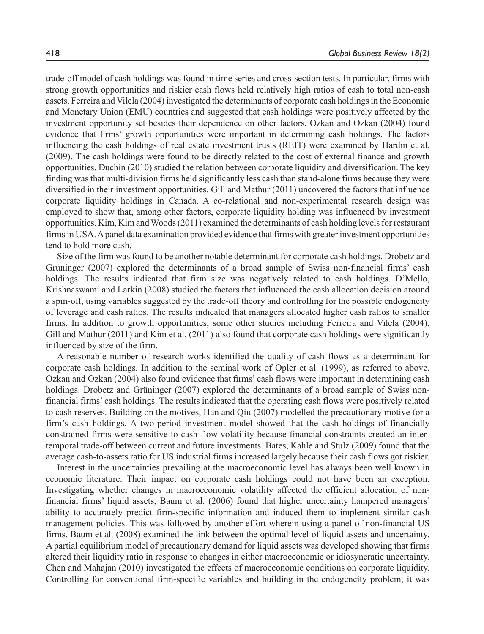trade-off model of cash holdings was found in time series and cross-section tests. In particular, firms with strong growth opportunities and riskier cash flows held relatively high ratios of cash to total non-cash assets. Ferreira and Vilela (2004) investigated the determinants of corporate cash holdings in the Economic and Monetary Union (EMU) countries and suggested that cash holdings were positively affected by the investment opportunity set besides their dependence on other factors. Ozkan and Ozkan (2004) found evidence that firms' growth opportunities were important in determining cash holdings. The factors influencing the cash holdings of real estate investment trusts (REIT) were examined by Hardin et al. (2009). The cash holdings were found to be directly related to the cost of external finance and growth opportunities. Duchin (2010) studied the relation between corporate liquidity and diversification. The key finding was that multi-division firms held significantly less cash than stand-alone firms because they were diversified in their investment opportunities. Gill and Mathur (2011) uncovered the factors that influence corporate liquidity holdings in Canada. A co-relational and non-experimental research design was employed to show that, among other factors, corporate liquidity holding was influenced by investment opportunities. Kim, Kim and Woods (2011) examined the determinants of cash holding levels for restaurant firms in USA. A panel data examination provided evidence that firms with greater investment opportunities tend to hold more cash.

Size of the firm was found to be another notable determinant for corporate cash holdings. Drobetz and Grüninger (2007) explored the determinants of a broad sample of Swiss non-financial firms' cash holdings. The results indicated that firm size was negatively related to cash holdings. D'Mello, Krishnaswami and Larkin (2008) studied the factors that influenced the cash allocation decision around a spin-off, using variables suggested by the trade-off theory and controlling for the possible endogeneity of leverage and cash ratios. The results indicated that managers allocated higher cash ratios to smaller firms. In addition to growth opportunities, some other studies including Ferreira and Vilela (2004), Gill and Mathur (2011) and Kim et al. (2011) also found that corporate cash holdings were significantly influenced by size of the firm.

A reasonable number of research works identified the quality of cash flows as a determinant for corporate cash holdings. In addition to the seminal work of Opler et al. (1999), as referred to above, Ozkan and Ozkan (2004) also found evidence that firms' cash flows were important in determining cash holdings. Drobetz and Grüninger (2007) explored the determinants of a broad sample of Swiss nonfinancial firms' cash holdings. The results indicated that the operating cash flows were positively related to cash reserves. Building on the motives, Han and Qiu (2007) modelled the precautionary motive for a firm's cash holdings. A two-period investment model showed that the cash holdings of financially constrained firms were sensitive to cash flow volatility because financial constraints created an intertemporal trade-off between current and future investments. Bates, Kahle and Stulz (2009) found that the average cash-to-assets ratio for US industrial firms increased largely because their cash flows got riskier.

Interest in the uncertainties prevailing at the macroeconomic level has always been well known in economic literature. Their impact on corporate cash holdings could not have been an exception. Investigating whether changes in macroeconomic volatility affected the efficient allocation of nonfinancial firms' liquid assets, Baum et al. (2006) found that higher uncertainty hampered managers' ability to accurately predict firm-specific information and induced them to implement similar cash management policies. This was followed by another effort wherein using a panel of non-financial US firms, Baum et al. (2008) examined the link between the optimal level of liquid assets and uncertainty. A partial equilibrium model of precautionary demand for liquid assets was developed showing that firms altered their liquidity ratio in response to changes in either macroeconomic or idiosyncratic uncertainty. Chen and Mahajan (2010) investigated the effects of macroeconomic conditions on corporate liquidity. Controlling for conventional firm-specific variables and building in the endogeneity problem, it was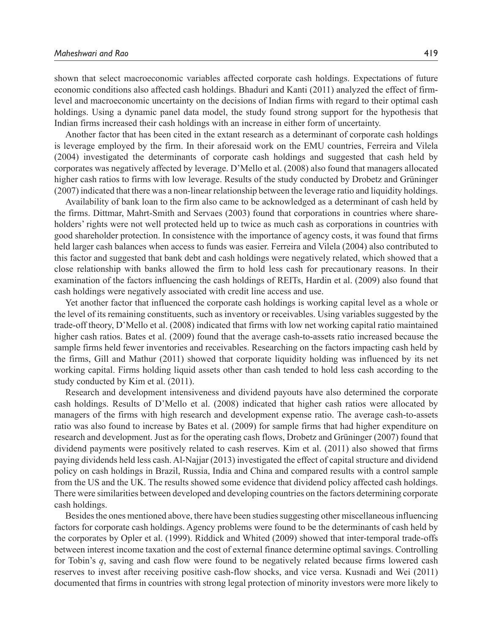shown that select macroeconomic variables affected corporate cash holdings. Expectations of future economic conditions also affected cash holdings. Bhaduri and Kanti (2011) analyzed the effect of firmlevel and macroeconomic uncertainty on the decisions of Indian firms with regard to their optimal cash holdings. Using a dynamic panel data model, the study found strong support for the hypothesis that Indian firms increased their cash holdings with an increase in either form of uncertainty.

Another factor that has been cited in the extant research as a determinant of corporate cash holdings is leverage employed by the firm. In their aforesaid work on the EMU countries, Ferreira and Vilela (2004) investigated the determinants of corporate cash holdings and suggested that cash held by corporates was negatively affected by leverage. D'Mello et al. (2008) also found that managers allocated higher cash ratios to firms with low leverage. Results of the study conducted by Drobetz and Grüninger (2007) indicated that there was a non-linear relationship between the leverage ratio and liquidity holdings.

Availability of bank loan to the firm also came to be acknowledged as a determinant of cash held by the firms. Dittmar, Mahrt-Smith and Servaes (2003) found that corporations in countries where shareholders' rights were not well protected held up to twice as much cash as corporations in countries with good shareholder protection. In consistence with the importance of agency costs, it was found that firms held larger cash balances when access to funds was easier. Ferreira and Vilela (2004) also contributed to this factor and suggested that bank debt and cash holdings were negatively related, which showed that a close relationship with banks allowed the firm to hold less cash for precautionary reasons. In their examination of the factors influencing the cash holdings of REITs, Hardin et al. (2009) also found that cash holdings were negatively associated with credit line access and use.

Yet another factor that influenced the corporate cash holdings is working capital level as a whole or the level of its remaining constituents, such as inventory or receivables. Using variables suggested by the trade-off theory, D'Mello et al. (2008) indicated that firms with low net working capital ratio maintained higher cash ratios. Bates et al. (2009) found that the average cash-to-assets ratio increased because the sample firms held fewer inventories and receivables. Researching on the factors impacting cash held by the firms, Gill and Mathur (2011) showed that corporate liquidity holding was influenced by its net working capital. Firms holding liquid assets other than cash tended to hold less cash according to the study conducted by Kim et al. (2011).

Research and development intensiveness and dividend payouts have also determined the corporate cash holdings. Results of D'Mello et al. (2008) indicated that higher cash ratios were allocated by managers of the firms with high research and development expense ratio. The average cash-to-assets ratio was also found to increase by Bates et al. (2009) for sample firms that had higher expenditure on research and development. Just as for the operating cash flows, Drobetz and Grüninger (2007) found that dividend payments were positively related to cash reserves. Kim et al. (2011) also showed that firms paying dividends held less cash. Al-Najjar (2013) investigated the effect of capital structure and dividend policy on cash holdings in Brazil, Russia, India and China and compared results with a control sample from the US and the UK. The results showed some evidence that dividend policy affected cash holdings. There were similarities between developed and developing countries on the factors determining corporate cash holdings.

Besides the ones mentioned above, there have been studies suggesting other miscellaneous influencing factors for corporate cash holdings. Agency problems were found to be the determinants of cash held by the corporates by Opler et al. (1999). Riddick and Whited (2009) showed that inter-temporal trade-offs between interest income taxation and the cost of external finance determine optimal savings. Controlling for Tobin's *q*, saving and cash flow were found to be negatively related because firms lowered cash reserves to invest after receiving positive cash-flow shocks, and vice versa. Kusnadi and Wei (2011) documented that firms in countries with strong legal protection of minority investors were more likely to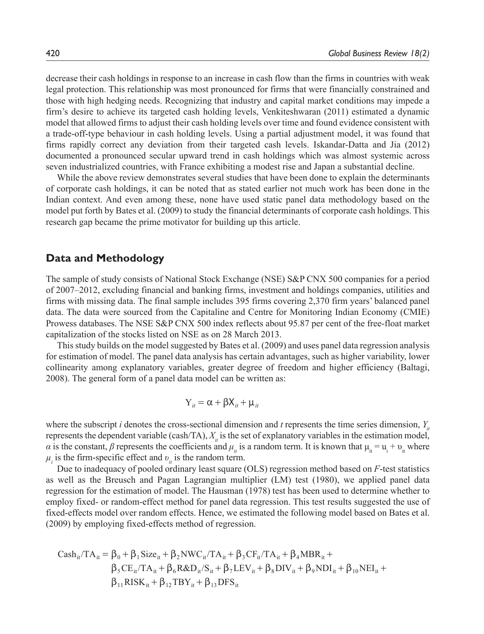decrease their cash holdings in response to an increase in cash flow than the firms in countries with weak legal protection. This relationship was most pronounced for firms that were financially constrained and those with high hedging needs. Recognizing that industry and capital market conditions may impede a firm's desire to achieve its targeted cash holding levels, Venkiteshwaran (2011) estimated a dynamic model that allowed firms to adjust their cash holding levels over time and found evidence consistent with a trade-off-type behaviour in cash holding levels. Using a partial adjustment model, it was found that firms rapidly correct any deviation from their targeted cash levels. Iskandar-Datta and Jia (2012) documented a pronounced secular upward trend in cash holdings which was almost systemic across seven industrialized countries, with France exhibiting a modest rise and Japan a substantial decline.

While the above review demonstrates several studies that have been done to explain the determinants of corporate cash holdings, it can be noted that as stated earlier not much work has been done in the Indian context. And even among these, none have used static panel data methodology based on the model put forth by Bates et al. (2009) to study the financial determinants of corporate cash holdings. This research gap became the prime motivator for building up this article.

#### **Data and Methodology**

The sample of study consists of National Stock Exchange (NSE) S&P CNX 500 companies for a period of 2007–2012, excluding financial and banking firms, investment and holdings companies, utilities and firms with missing data. The final sample includes 395 firms covering 2,370 firm years' balanced panel data. The data were sourced from the Capitaline and Centre for Monitoring Indian Economy (CMIE) Prowess databases. The NSE S&P CNX 500 index reflects about 95.87 per cent of the free-float market capitalization of the stocks listed on NSE as on 28 March 2013.

This study builds on the model suggested by Bates et al. (2009) and uses panel data regression analysis for estimation of model. The panel data analysis has certain advantages, such as higher variability, lower collinearity among explanatory variables, greater degree of freedom and higher efficiency (Baltagi, 2008). The general form of a panel data model can be written as:

$$
Y_{it} = \alpha + \beta X_{it} + \mu_{it}
$$

where the subscript *i* denotes the cross-sectional dimension and *t* represents the time series dimension,  $Y_i$ represents the dependent variable (cash/TA),  $X<sub>i</sub>$  is the set of explanatory variables in the estimation model, *α* is the constant, *β* represents the coefficients and  $\mu_i$  is a random term. It is known that  $\mu_i = u_i + v_i$  where  $\mu_i$  is the firm-specific effect and  $v_i$  is the random term.

Due to inadequacy of pooled ordinary least square (OLS) regression method based on *F*-test statistics as well as the Breusch and Pagan Lagrangian multiplier (LM) test (1980), we applied panel data regression for the estimation of model. The Hausman (1978) test has been used to determine whether to employ fixed- or random-effect method for panel data regression. This test results suggested the use of fixed-effects model over random effects. Hence, we estimated the following model based on Bates et al. (2009) by employing fixed-effects method of regression.

$$
Cash_{it}/TA_{it} = \beta_0 + \beta_1 Size_{it} + \beta_2 NWC_{it}/TA_{it} + \beta_3 CF_{it}/TA_{it} + \beta_4 MBR_{it} +\beta_5 CE_{it}/TA_{it} + \beta_6 R&D_{it}/S_{it} + \beta_7 LEV_{it} + \beta_8 DIV_{it} + \beta_9 NDI_{it} + \beta_{10} NEI_{it} +\beta_{11} RISK_{it} + \beta_{12} TBY_{it} + \beta_{13} DFS_{it}
$$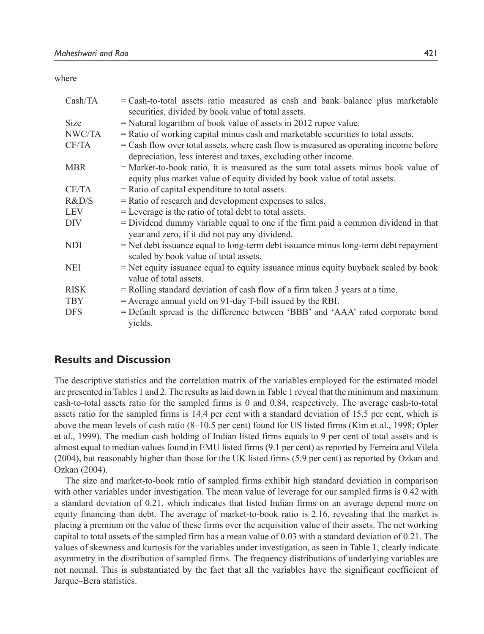where

| Cash/TA     | $=$ Cash-to-total assets ratio measured as cash and bank balance plus marketable<br>securities, divided by book value of total assets.                    |
|-------------|-----------------------------------------------------------------------------------------------------------------------------------------------------------|
| <b>Size</b> | $=$ Natural logarithm of book value of assets in 2012 rupee value.                                                                                        |
| NWC/TA      | = Ratio of working capital minus cash and marketable securities to total assets.                                                                          |
| CF/TA       | $=$ Cash flow over total assets, where cash flow is measured as operating income before<br>depreciation, less interest and taxes, excluding other income. |
| <b>MBR</b>  | $=$ Market-to-book ratio, it is measured as the sum total assets minus book value of                                                                      |
|             | equity plus market value of equity divided by book value of total assets.                                                                                 |
| CE/TA       | $=$ Ratio of capital expenditure to total assets.                                                                                                         |
| R&D/S       | = Ratio of research and development expenses to sales.                                                                                                    |
| <b>LEV</b>  | $=$ Leverage is the ratio of total debt to total assets.                                                                                                  |
| DIV         | = Dividend dummy variable equal to one if the firm paid a common dividend in that<br>year and zero, if it did not pay any dividend.                       |
| NDI.        | = Net debt issuance equal to long-term debt issuance minus long-term debt repayment<br>scaled by book value of total assets.                              |
| <b>NEI</b>  | $=$ Net equity issuance equal to equity issuance minus equity buyback scaled by book<br>value of total assets.                                            |
| <b>RISK</b> | $=$ Rolling standard deviation of cash flow of a firm taken 3 years at a time.                                                                            |
| <b>TBY</b>  | = Average annual yield on 91-day T-bill issued by the RBI.                                                                                                |
| <b>DFS</b>  | = Default spread is the difference between 'BBB' and 'AAA' rated corporate bond<br>yields.                                                                |

## **Results and Discussion**

The descriptive statistics and the correlation matrix of the variables employed for the estimated model are presented in Tables 1 and 2. The results as laid down in Table 1 reveal that the minimum and maximum cash-to-total assets ratio for the sampled firms is 0 and 0.84, respectively. The average cash-to-total assets ratio for the sampled firms is 14.4 per cent with a standard deviation of 15.5 per cent, which is above the mean levels of cash ratio (8–10.5 per cent) found for US listed firms (Kim et al., 1998; Opler et al., 1999). The median cash holding of Indian listed firms equals to 9 per cent of total assets and is almost equal to median values found in EMU listed firms (9.1 per cent) as reported by Ferreira and Vilela (2004), but reasonably higher than those for the UK listed firms (5.9 per cent) as reported by Ozkan and Ozkan (2004).

The size and market-to-book ratio of sampled firms exhibit high standard deviation in comparison with other variables under investigation. The mean value of leverage for our sampled firms is 0.42 with a standard deviation of 0.21, which indicates that listed Indian firms on an average depend more on equity financing than debt. The average of market-to-book ratio is 2.16, revealing that the market is placing a premium on the value of these firms over the acquisition value of their assets. The net working capital to total assets of the sampled firm has a mean value of 0.03 with a standard deviation of 0.21. The values of skewness and kurtosis for the variables under investigation, as seen in Table 1, clearly indicate asymmetry in the distribution of sampled firms. The frequency distributions of underlying variables are not normal. This is substantiated by the fact that all the variables have the significant coefficient of Jarque–Bera statistics.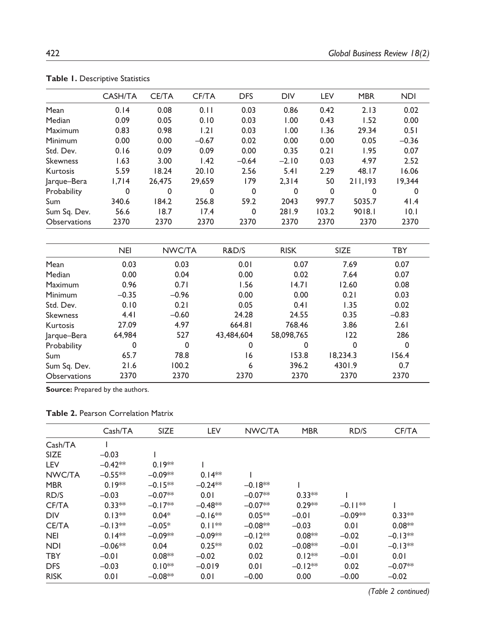|                     | <b>CASH/TA</b> | <b>CE/TA</b> | CF/TA   | <b>DFS</b>  | <b>DIV</b> | LEV         | <b>MBR</b> | <b>NDI</b> |
|---------------------|----------------|--------------|---------|-------------|------------|-------------|------------|------------|
| Mean                | 0.14           | 0.08         | 0.11    | 0.03        | 0.86       | 0.42        | 2.13       | 0.02       |
| Median              | 0.09           | 0.05         | 0.10    | 0.03        | 1.00       | 0.43        | 1.52       | 0.00       |
| Maximum             | 0.83           | 0.98         | 1.21    | 0.03        | 1.00       | 1.36        | 29.34      | 0.51       |
| Minimum             | 0.00           | 0.00         | $-0.67$ | 0.02        | 0.00       | 0.00        | 0.05       | $-0.36$    |
| Std. Dev.           | 0.16           | 0.09         | 0.09    | 0.00        | 0.35       | 0.21        | 1.95       | 0.07       |
| <b>Skewness</b>     | 1.63           | 3.00         | 1.42    | $-0.64$     | $-2.10$    | 0.03        | 4.97       | 2.52       |
| Kurtosis            | 5.59           | 18.24        | 20.10   | 2.56        | 5.41       | 2.29        | 48.17      | 16.06      |
| Jarque-Bera         | 1,714          | 26,475       | 29.659  | 179         | 2.314      | 50          | 211,193    | 19.344     |
| Probability         | 0              | 0            | 0       | $\mathbf 0$ | $\Omega$   | $\mathbf 0$ | 0          | 0          |
| Sum                 | 340.6          | 184.2        | 256.8   | 59.2        | 2043       | 997.7       | 5035.7     | 41.4       |
| Sum Sq. Dev.        | 56.6           | 18.7         | 17.4    | $\mathbf 0$ | 281.9      | 103.2       | 9018.1     | 10.1       |
| <b>Observations</b> | 2370           | 2370         | 2370    | 2370        | 2370       | 2370        | 2370       | 2370       |

**Table 1.** Descriptive Statistics

|                     | <b>NEI</b> | NWC/TA   | R&D/S      | <b>RISK</b> | <b>SIZE</b> | <b>TBY</b> |
|---------------------|------------|----------|------------|-------------|-------------|------------|
| Mean                | 0.03       | 0.03     | 0.01       | 0.07        | 7.69        | 0.07       |
| Median              | 0.00       | 0.04     | 0.00       | 0.02        | 7.64        | 0.07       |
| Maximum             | 0.96       | 0.71     | 1.56       | 14.71       | 12.60       | 0.08       |
| Minimum             | $-0.35$    | $-0.96$  | 0.00       | 0.00        | 0.21        | 0.03       |
| Std. Dev.           | 0.10       | 0.21     | 0.05       | 0.41        | 1.35        | 0.02       |
| Skewness            | 4.41       | $-0.60$  | 24.28      | 24.55       | 0.35        | $-0.83$    |
| Kurtosis            | 27.09      | 4.97     | 664.81     | 768.46      | 3.86        | 2.61       |
| Jarque-Bera         | 64,984     | 527      | 43,484,604 | 58.098.765  | 122         | 286        |
| Probability         | 0          | $\Omega$ | 0          | 0           | 0           | 0          |
| Sum                 | 65.7       | 78.8     | 16         | 153.8       | 18,234.3    | 156.4      |
| Sum Sq. Dev.        | 21.6       | 100.2    | 6          | 396.2       | 4301.9      | 0.7        |
| <b>Observations</b> | 2370       | 2370     | 2370       | 2370        | 2370        | 2370       |

**Source:** Prepared by the authors.

#### **Table 2. Pearson Correlation Matrix**

|              | Cash/TA   | <b>SIZE</b> | LEV       | NWC/TA    | <b>MBR</b> | RD/S      | CF/TA     |
|--------------|-----------|-------------|-----------|-----------|------------|-----------|-----------|
| Cash/TA      |           |             |           |           |            |           |           |
| <b>SIZE</b>  | $-0.03$   |             |           |           |            |           |           |
| LEV          | $-0.42**$ | $0.19***$   |           |           |            |           |           |
| NWC/TA       | $-0.55**$ | $-0.09**$   | $0.14***$ |           |            |           |           |
| <b>MBR</b>   | $0.19**$  | $-0.15**$   | $-0.24**$ | $-0.18**$ |            |           |           |
| RD/S         | $-0.03$   | $-0.07**$   | 0.01      | $-0.07**$ | $0.33**$   |           |           |
| CF/TA        | $0.33**$  | $-0.17**$   | $-0.48**$ | $-0.07**$ | $0.29**$   | $-0.11**$ |           |
| <b>DIV</b>   | $0.13***$ | $0.04*$     | $-0.16**$ | $0.05**$  | $-0.01$    | $-0.09**$ | $0.33***$ |
| <b>CE/TA</b> | $-0.13**$ | $-0.05*$    | $0.11**$  | $-0.08**$ | $-0.03$    | 0.01      | $0.08**$  |
| <b>NEI</b>   | $0.14**$  | $-0.09**$   | $-0.09**$ | $-0.12**$ | $0.08**$   | $-0.02$   | $-0.13**$ |
| <b>NDI</b>   | $-0.06**$ | 0.04        | $0.25**$  | 0.02      | $-0.08**$  | $-0.01$   | $-0.13**$ |
| <b>TBY</b>   | $-0.01$   | $0.08***$   | $-0.02$   | 0.02      | $0.12**$   | $-0.01$   | 0.01      |
| <b>DFS</b>   | $-0.03$   | $0.10**$    | $-0.019$  | 0.01      | $-0.12**$  | 0.02      | $-0.07**$ |
| <b>RISK</b>  | 0.01      | $-0.08**$   | 0.01      | $-0.00$   | 0.00       | $-0.00$   | $-0.02$   |

*(Table 2 continued)*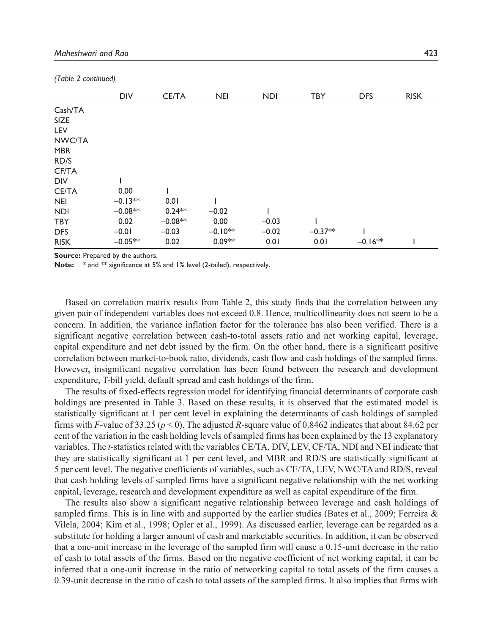|             | <b>DIV</b> | <b>CE/TA</b> | <b>NEI</b> | <b>NDI</b> | <b>TBY</b> | <b>DFS</b> | <b>RISK</b> |
|-------------|------------|--------------|------------|------------|------------|------------|-------------|
| Cash/TA     |            |              |            |            |            |            |             |
| <b>SIZE</b> |            |              |            |            |            |            |             |
| LEV         |            |              |            |            |            |            |             |
| NWC/TA      |            |              |            |            |            |            |             |
| <b>MBR</b>  |            |              |            |            |            |            |             |
| RD/S        |            |              |            |            |            |            |             |
| CF/TA       |            |              |            |            |            |            |             |
| DIV         |            |              |            |            |            |            |             |
| CE/TA       | 0.00       |              |            |            |            |            |             |
| <b>NEI</b>  | $-0.13**$  | 0.01         |            |            |            |            |             |
| <b>NDI</b>  | $-0.08**$  | $0.24**$     | $-0.02$    |            |            |            |             |
| TBY         | 0.02       | $-0.08**$    | 0.00       | $-0.03$    |            |            |             |
| <b>DFS</b>  | $-0.01$    | $-0.03$      | $-0.10**$  | $-0.02$    | $-0.37**$  |            |             |
| <b>RISK</b> | $-0.05**$  | 0.02         | $0.09**$   | 0.01       | 0.01       | $-0.16**$  |             |

*(Table 2 continued)*

**Source:** Prepared by the authors.

Note:  $*$  and  $**$  significance at 5% and 1% level (2-tailed), respectively.

Based on correlation matrix results from Table 2, this study finds that the correlation between any given pair of independent variables does not exceed 0.8. Hence, multicollinearity does not seem to be a concern. In addition, the variance inflation factor for the tolerance has also been verified. There is a significant negative correlation between cash-to-total assets ratio and net working capital, leverage, capital expenditure and net debt issued by the firm. On the other hand, there is a significant positive correlation between market-to-book ratio, dividends, cash flow and cash holdings of the sampled firms. However, insignificant negative correlation has been found between the research and development expenditure, T-bill yield, default spread and cash holdings of the firm.

The results of fixed-effects regression model for identifying financial determinants of corporate cash holdings are presented in Table 3. Based on these results, it is observed that the estimated model is statistically significant at 1 per cent level in explaining the determinants of cash holdings of sampled firms with *F*-value of 33.25 ( $p < 0$ ). The adjusted *R*-square value of 0.8462 indicates that about 84.62 per cent of the variation in the cash holding levels of sampled firms has been explained by the 13 explanatory variables. The *t*-statistics related with the variables CE/TA, DIV, LEV, CF/TA, NDI and NEI indicate that they are statistically significant at 1 per cent level, and MBR and RD/S are statistically significant at 5 per cent level. The negative coefficients of variables, such as CE/TA, LEV, NWC/TA and RD/S, reveal that cash holding levels of sampled firms have a significant negative relationship with the net working capital, leverage, research and development expenditure as well as capital expenditure of the firm.

The results also show a significant negative relationship between leverage and cash holdings of sampled firms. This is in line with and supported by the earlier studies (Bates et al., 2009; Ferreira  $\&$ Vilela, 2004; Kim et al., 1998; Opler et al., 1999). As discussed earlier, leverage can be regarded as a substitute for holding a larger amount of cash and marketable securities. In addition, it can be observed that a one-unit increase in the leverage of the sampled firm will cause a 0.15-unit decrease in the ratio of cash to total assets of the firms. Based on the negative coefficient of net working capital, it can be inferred that a one-unit increase in the ratio of networking capital to total assets of the firm causes a 0.39-unit decrease in the ratio of cash to total assets of the sampled firms. It also implies that firms with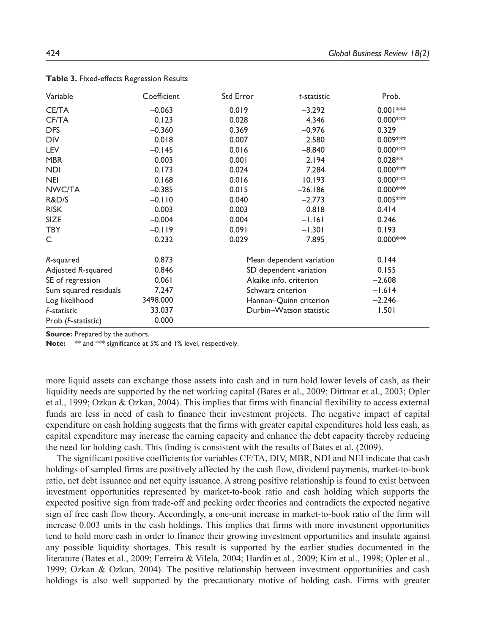| Variable              | Coefficient | Std Error               | t-statistic              | Prob.       |
|-----------------------|-------------|-------------------------|--------------------------|-------------|
| <b>CE/TA</b>          | $-0.063$    | 0.019                   | $-3.292$                 | $0.001***$  |
| CF/TA                 | 0.123       | 0.028                   | 4.346                    | $0.000$ *** |
| <b>DFS</b>            | $-0.360$    | 0.369                   | $-0.976$                 | 0.329       |
| <b>DIV</b>            | 0.018       | 0.007                   | 2.580                    | $0.009***$  |
| <b>LEV</b>            | $-0.145$    | 0.016                   | $-8.840$                 | $0.000$ *** |
| <b>MBR</b>            | 0.003       | 0.001                   | 2.194                    | $0.028**$   |
| <b>NDI</b>            | 0.173       | 0.024                   | 7.284                    | $0.000$ *** |
| <b>NEI</b>            | 0.168       | 0.016                   | 10.193                   | $0.000$ *** |
| NWC/TA                | $-0.385$    | 0.015                   | $-26.186$                | $0.000$ *** |
| R&D/S                 | $-0.110$    | 0.040                   | $-2.773$                 | $0.005***$  |
| <b>RISK</b>           | 0.003       | 0.003                   | 0.818                    | 0.414       |
| SIZE                  | $-0.004$    | 0.004                   | $-1.161$                 | 0.246       |
| <b>TBY</b>            | $-0.119$    | 0.091                   | $-1.301$                 | 0.193       |
| C                     | 0.232       | 0.029                   | 7.895                    | $0.000$ *** |
| R-squared             | 0.873       |                         | Mean dependent variation | 0.144       |
| Adjusted R-squared    | 0.846       |                         | SD dependent variation   | 0.155       |
| SE of regression      | 0.061       | Akaike info. criterion  |                          | $-2.608$    |
| Sum squared residuals | 7.247       | Schwarz criterion       |                          | $-1.614$    |
| Log likelihood        | 3498.000    | Hannan-Quinn criterion  |                          | $-2.246$    |
| F-statistic           | 33.037      | Durbin-Watson statistic |                          | 1.501       |
| Prob (F-statistic)    | 0.000       |                         |                          |             |

**Table 3.** Fixed-effects Regression Results

**Source:** Prepared by the authors.

**Note:** \*\* and \*\*\* significance at 5% and 1% level, respectively.

more liquid assets can exchange those assets into cash and in turn hold lower levels of cash, as their liquidity needs are supported by the net working capital (Bates et al., 2009; Dittmar et al., 2003; Opler et al., 1999; Ozkan & Ozkan, 2004). This implies that firms with financial flexibility to access external funds are less in need of cash to finance their investment projects. The negative impact of capital expenditure on cash holding suggests that the firms with greater capital expenditures hold less cash, as capital expenditure may increase the earning capacity and enhance the debt capacity thereby reducing the need for holding cash. This finding is consistent with the results of Bates et al. (2009).

The significant positive coefficients for variables CF/TA, DIV, MBR, NDI and NEI indicate that cash holdings of sampled firms are positively affected by the cash flow, dividend payments, market-to-book ratio, net debt issuance and net equity issuance. A strong positive relationship is found to exist between investment opportunities represented by market-to-book ratio and cash holding which supports the expected positive sign from trade-off and pecking order theories and contradicts the expected negative sign of free cash flow theory. Accordingly, a one-unit increase in market-to-book ratio of the firm will increase 0.003 units in the cash holdings. This implies that firms with more investment opportunities tend to hold more cash in order to finance their growing investment opportunities and insulate against any possible liquidity shortages. This result is supported by the earlier studies documented in the literature (Bates et al., 2009; Ferreira & Vilela, 2004; Hardin et al., 2009; Kim et al., 1998; Opler et al., 1999; Ozkan & Ozkan, 2004). The positive relationship between investment opportunities and cash holdings is also well supported by the precautionary motive of holding cash. Firms with greater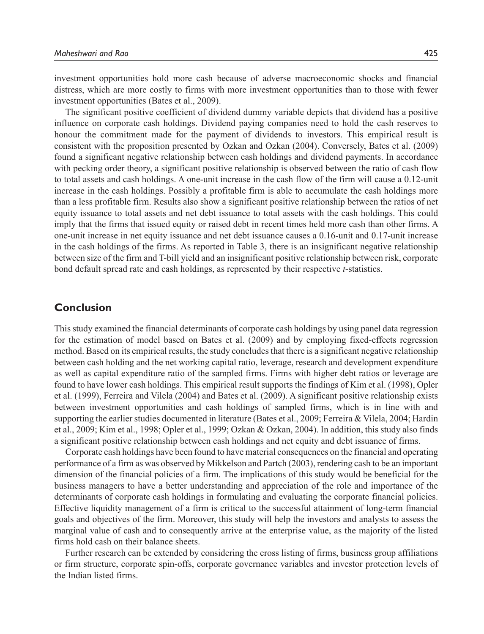investment opportunities hold more cash because of adverse macroeconomic shocks and financial distress, which are more costly to firms with more investment opportunities than to those with fewer investment opportunities (Bates et al., 2009).

The significant positive coefficient of dividend dummy variable depicts that dividend has a positive influence on corporate cash holdings. Dividend paying companies need to hold the cash reserves to honour the commitment made for the payment of dividends to investors. This empirical result is consistent with the proposition presented by Ozkan and Ozkan (2004). Conversely, Bates et al. (2009) found a significant negative relationship between cash holdings and dividend payments. In accordance with pecking order theory, a significant positive relationship is observed between the ratio of cash flow to total assets and cash holdings. A one-unit increase in the cash flow of the firm will cause a 0.12-unit increase in the cash holdings. Possibly a profitable firm is able to accumulate the cash holdings more than a less profitable firm. Results also show a significant positive relationship between the ratios of net equity issuance to total assets and net debt issuance to total assets with the cash holdings. This could imply that the firms that issued equity or raised debt in recent times held more cash than other firms. A one-unit increase in net equity issuance and net debt issuance causes a 0.16-unit and 0.17-unit increase in the cash holdings of the firms. As reported in Table 3, there is an insignificant negative relationship between size of the firm and T-bill yield and an insignificant positive relationship between risk, corporate bond default spread rate and cash holdings, as represented by their respective *t*-statistics.

#### **Conclusion**

This study examined the financial determinants of corporate cash holdings by using panel data regression for the estimation of model based on Bates et al. (2009) and by employing fixed-effects regression method. Based on its empirical results, the study concludes that there is a significant negative relationship between cash holding and the net working capital ratio, leverage, research and development expenditure as well as capital expenditure ratio of the sampled firms. Firms with higher debt ratios or leverage are found to have lower cash holdings. This empirical result supports the findings of Kim et al. (1998), Opler et al. (1999), Ferreira and Vilela (2004) and Bates et al. (2009). A significant positive relationship exists between investment opportunities and cash holdings of sampled firms, which is in line with and supporting the earlier studies documented in literature (Bates et al., 2009; Ferreira & Vilela, 2004; Hardin et al., 2009; Kim et al., 1998; Opler et al., 1999; Ozkan & Ozkan, 2004). In addition, this study also finds a significant positive relationship between cash holdings and net equity and debt issuance of firms.

Corporate cash holdings have been found to have material consequences on the financial and operating performance of a firm as was observed by Mikkelson and Partch (2003), rendering cash to be an important dimension of the financial policies of a firm. The implications of this study would be beneficial for the business managers to have a better understanding and appreciation of the role and importance of the determinants of corporate cash holdings in formulating and evaluating the corporate financial policies. Effective liquidity management of a firm is critical to the successful attainment of long-term financial goals and objectives of the firm. Moreover, this study will help the investors and analysts to assess the marginal value of cash and to consequently arrive at the enterprise value, as the majority of the listed firms hold cash on their balance sheets.

Further research can be extended by considering the cross listing of firms, business group affiliations or firm structure, corporate spin-offs, corporate governance variables and investor protection levels of the Indian listed firms.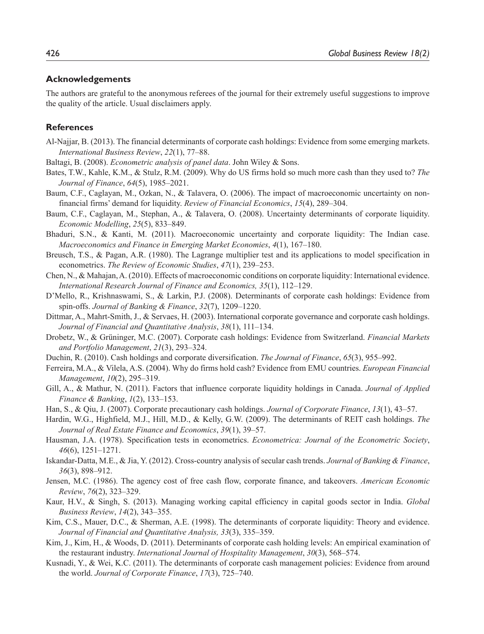#### **Acknowledgements**

The authors are grateful to the anonymous referees of the journal for their extremely useful suggestions to improve the quality of the article. Usual disclaimers apply.

#### **References**

- Al-Najjar, B. (2013). The financial determinants of corporate cash holdings: Evidence from some emerging markets. *International Business Review*, *22*(1), 77–88.
- Baltagi, B. (2008). *Econometric analysis of panel data*. John Wiley & Sons.
- Bates, T.W., Kahle, K.M., & Stulz, R.M. (2009). Why do US firms hold so much more cash than they used to? *The Journal of Finance*, *64*(5), 1985–2021.
- Baum, C.F., Caglayan, M., Ozkan, N., & Talavera, O. (2006). The impact of macroeconomic uncertainty on nonfinancial firms' demand for liquidity. *Review of Financial Economics*, *15*(4), 289–304.
- Baum, C.F., Caglayan, M., Stephan, A., & Talavera, O. (2008). Uncertainty determinants of corporate liquidity. *Economic Modelling*, *25*(5), 833–849.
- Bhaduri, S.N., & Kanti, M. (2011). Macroeconomic uncertainty and corporate liquidity: The Indian case. *Macroeconomics and Finance in Emerging Market Economies*, *4*(1), 167–180.
- Breusch, T.S., & Pagan, A.R. (1980). The Lagrange multiplier test and its applications to model specification in econometrics. *The Review of Economic Studies*, *47*(1), 239–253.
- Chen, N., & Mahajan, A. (2010). Effects of macroeconomic conditions on corporate liquidity: International evidence. *International Research Journal of Finance and Economics, 35*(1), 112–129.
- D'Mello, R., Krishnaswami, S., & Larkin, P.J. (2008). Determinants of corporate cash holdings: Evidence from spin-offs. *Journal of Banking & Finance*, *32*(7), 1209–1220.
- Dittmar, A., Mahrt-Smith, J., & Servaes, H. (2003). International corporate governance and corporate cash holdings. *Journal of Financial and Quantitative Analysis*, *38*(1), 111–134.
- Drobetz, W., & Grüninger, M.C. (2007). Corporate cash holdings: Evidence from Switzerland. *Financial Markets and Portfolio Management*, *21*(3), 293–324.
- Duchin, R. (2010). Cash holdings and corporate diversification. *The Journal of Finance*, *65*(3), 955–992.
- Ferreira, M.A., & Vilela, A.S. (2004). Why do firms hold cash? Evidence from EMU countries. *European Financial Management*, *10*(2), 295–319.
- Gill, A., & Mathur, N. (2011). Factors that influence corporate liquidity holdings in Canada. *Journal of Applied Finance & Banking*, *1*(2), 133–153.
- Han, S., & Qiu, J. (2007). Corporate precautionary cash holdings. *Journal of Corporate Finance*, *13*(1), 43–57.
- Hardin, W.G., Highfield, M.J., Hill, M.D., & Kelly, G.W. (2009). The determinants of REIT cash holdings. *The Journal of Real Estate Finance and Economics*, *39*(1), 39–57.
- Hausman, J.A. (1978). Specification tests in econometrics. *Econometrica: Journal of the Econometric Society*, *46*(6), 1251–1271.
- Iskandar-Datta, M.E., & Jia, Y. (2012). Cross-country analysis of secular cash trends. *Journal of Banking & Finance*, *36*(3), 898–912.
- Jensen, M.C. (1986). The agency cost of free cash flow, corporate finance, and takeovers. *American Economic Review*, *76*(2), 323–329.
- Kaur, H.V., & Singh, S. (2013). Managing working capital efficiency in capital goods sector in India. *Global Business Review*, *14*(2), 343–355.
- Kim, C.S., Mauer, D.C., & Sherman, A.E. (1998). The determinants of corporate liquidity: Theory and evidence. *Journal of Financial and Quantitative Analysis, 33*(3), 335–359.
- Kim, J., Kim, H., & Woods, D. (2011). Determinants of corporate cash holding levels: An empirical examination of the restaurant industry. *International Journal of Hospitality Management*, *30*(3), 568–574.
- Kusnadi, Y., & Wei, K.C. (2011). The determinants of corporate cash management policies: Evidence from around the world. *Journal of Corporate Finance*, *17*(3), 725–740.